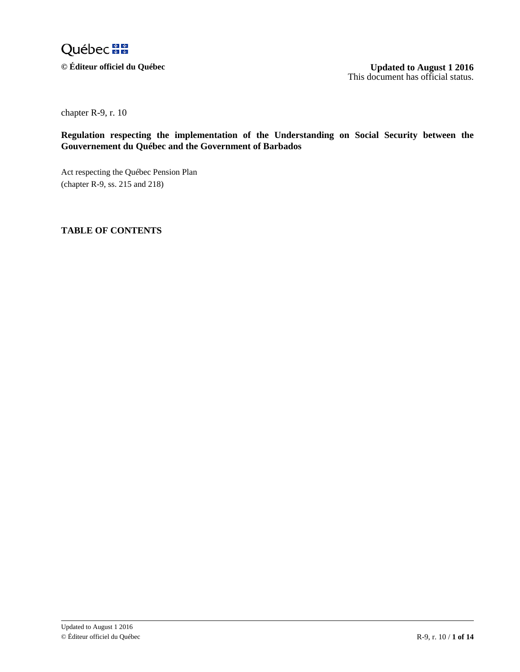

 $\odot$  Éditeur officiel du Québec

**August 1 2016** This document has official status.

chapter R-9, r. 10

**Regulation respecting the implementation of the Understanding on Social Security between the Gouvernement du Québec and the Government of Barbados**

 $\lambda$ N Act respecting the Québec Pension Plan (chapter R-9, ss. 215 and 218)

## $\mathbf{r}$ L e p **TABLE OF CONTENTS**